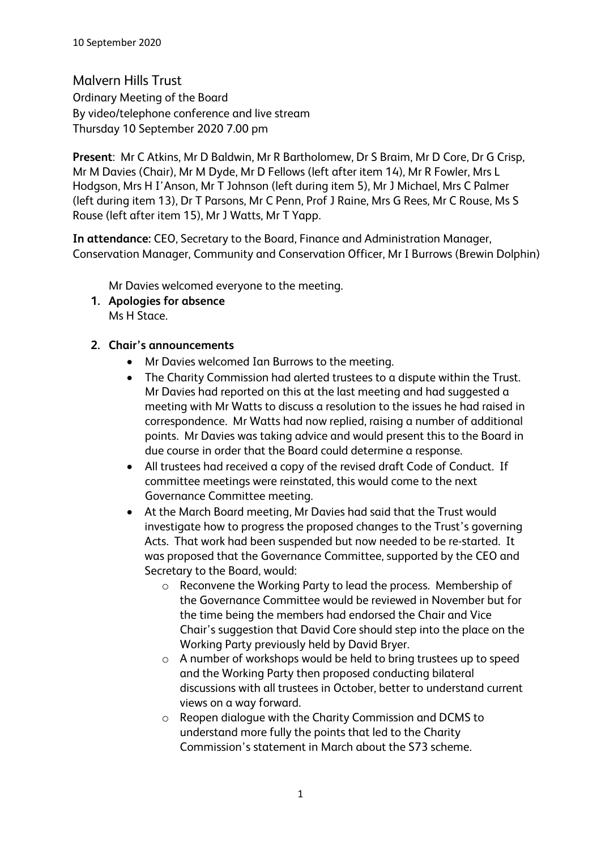Malvern Hills Trust Ordinary Meeting of the Board By video/telephone conference and live stream Thursday 10 September 2020 7.00 pm

**Present**: Mr C Atkins, Mr D Baldwin, Mr R Bartholomew, Dr S Braim, Mr D Core, Dr G Crisp, Mr M Davies (Chair), Mr M Dyde, Mr D Fellows (left after item 14), Mr R Fowler, Mrs L Hodgson, Mrs H I'Anson, Mr T Johnson (left during item 5), Mr J Michael, Mrs C Palmer (left during item 13), Dr T Parsons, Mr C Penn, Prof J Raine, Mrs G Rees, Mr C Rouse, Ms S Rouse (left after item 15), Mr J Watts, Mr T Yapp.

**In attendance:** CEO, Secretary to the Board, Finance and Administration Manager, Conservation Manager, Community and Conservation Officer, Mr I Burrows (Brewin Dolphin)

Mr Davies welcomed everyone to the meeting.

- **1. Apologies for absence** Ms H Stace.
- **2. Chair's announcements**
	- Mr Davies welcomed Ian Burrows to the meeting.
	- The Charity Commission had alerted trustees to a dispute within the Trust. Mr Davies had reported on this at the last meeting and had suggested a meeting with Mr Watts to discuss a resolution to the issues he had raised in correspondence. Mr Watts had now replied, raising a number of additional points. Mr Davies was taking advice and would present this to the Board in due course in order that the Board could determine a response.
	- All trustees had received a copy of the revised draft Code of Conduct. If committee meetings were reinstated, this would come to the next Governance Committee meeting.
	- At the March Board meeting, Mr Davies had said that the Trust would investigate how to progress the proposed changes to the Trust's governing Acts. That work had been suspended but now needed to be re-started. It was proposed that the Governance Committee, supported by the CEO and Secretary to the Board, would:
		- o Reconvene the Working Party to lead the process. Membership of the Governance Committee would be reviewed in November but for the time being the members had endorsed the Chair and Vice Chair's suggestion that David Core should step into the place on the Working Party previously held by David Bryer.
		- o A number of workshops would be held to bring trustees up to speed and the Working Party then proposed conducting bilateral discussions with all trustees in October, better to understand current views on a way forward.
		- o Reopen dialogue with the Charity Commission and DCMS to understand more fully the points that led to the Charity Commission's statement in March about the S73 scheme.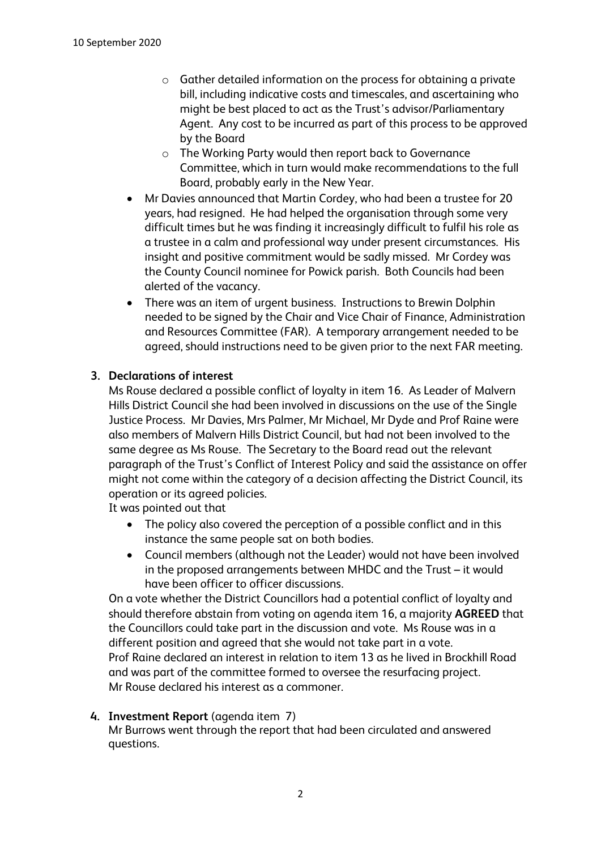- o Gather detailed information on the process for obtaining a private bill, including indicative costs and timescales, and ascertaining who might be best placed to act as the Trust's advisor/Parliamentary Agent. Any cost to be incurred as part of this process to be approved by the Board
- o The Working Party would then report back to Governance Committee, which in turn would make recommendations to the full Board, probably early in the New Year.
- Mr Davies announced that Martin Cordey, who had been a trustee for 20 years, had resigned. He had helped the organisation through some very difficult times but he was finding it increasingly difficult to fulfil his role as a trustee in a calm and professional way under present circumstances. His insight and positive commitment would be sadly missed. Mr Cordey was the County Council nominee for Powick parish. Both Councils had been alerted of the vacancy.
- There was an item of urgent business. Instructions to Brewin Dolphin needed to be signed by the Chair and Vice Chair of Finance, Administration and Resources Committee (FAR). A temporary arrangement needed to be agreed, should instructions need to be given prior to the next FAR meeting.

# **3. Declarations of interest**

Ms Rouse declared a possible conflict of loyalty in item 16. As Leader of Malvern Hills District Council she had been involved in discussions on the use of the Single Justice Process. Mr Davies, Mrs Palmer, Mr Michael, Mr Dyde and Prof Raine were also members of Malvern Hills District Council, but had not been involved to the same degree as Ms Rouse. The Secretary to the Board read out the relevant paragraph of the Trust's Conflict of Interest Policy and said the assistance on offer might not come within the category of a decision affecting the District Council, its operation or its agreed policies.

It was pointed out that

- The policy also covered the perception of a possible conflict and in this instance the same people sat on both bodies.
- Council members (although not the Leader) would not have been involved in the proposed arrangements between MHDC and the Trust – it would have been officer to officer discussions.

On a vote whether the District Councillors had a potential conflict of loyalty and should therefore abstain from voting on agenda item 16, a majority **AGREED** that the Councillors could take part in the discussion and vote. Ms Rouse was in a different position and agreed that she would not take part in a vote. Prof Raine declared an interest in relation to item 13 as he lived in Brockhill Road and was part of the committee formed to oversee the resurfacing project. Mr Rouse declared his interest as a commoner.

# **4. Investment Report** (agenda item 7)

Mr Burrows went through the report that had been circulated and answered questions.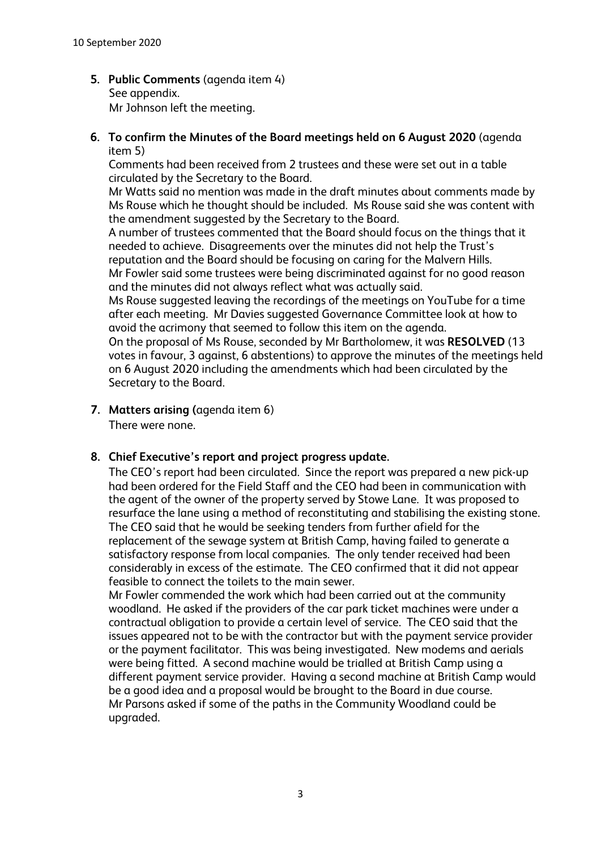**5. Public Comments** (agenda item 4) See appendix. Mr Johnson left the meeting.

## **6. To confirm the Minutes of the Board meetings held on 6 August 2020** (agenda item 5)

Comments had been received from 2 trustees and these were set out in a table circulated by the Secretary to the Board.

Mr Watts said no mention was made in the draft minutes about comments made by Ms Rouse which he thought should be included. Ms Rouse said she was content with the amendment suggested by the Secretary to the Board.

A number of trustees commented that the Board should focus on the things that it needed to achieve. Disagreements over the minutes did not help the Trust's reputation and the Board should be focusing on caring for the Malvern Hills. Mr Fowler said some trustees were being discriminated against for no good reason and the minutes did not always reflect what was actually said.

Ms Rouse suggested leaving the recordings of the meetings on YouTube for a time after each meeting. Mr Davies suggested Governance Committee look at how to avoid the acrimony that seemed to follow this item on the agenda.

On the proposal of Ms Rouse, seconded by Mr Bartholomew, it was **RESOLVED** (13 votes in favour, 3 against, 6 abstentions) to approve the minutes of the meetings held on 6 August 2020 including the amendments which had been circulated by the Secretary to the Board.

**7. Matters arising (**agenda item 6) There were none.

# **8. Chief Executive's report and project progress update.**

The CEO's report had been circulated. Since the report was prepared a new pick-up had been ordered for the Field Staff and the CEO had been in communication with the agent of the owner of the property served by Stowe Lane. It was proposed to resurface the lane using a method of reconstituting and stabilising the existing stone. The CEO said that he would be seeking tenders from further afield for the replacement of the sewage system at British Camp, having failed to generate a satisfactory response from local companies. The only tender received had been considerably in excess of the estimate. The CEO confirmed that it did not appear feasible to connect the toilets to the main sewer.

Mr Fowler commended the work which had been carried out at the community woodland. He asked if the providers of the car park ticket machines were under a contractual obligation to provide a certain level of service. The CEO said that the issues appeared not to be with the contractor but with the payment service provider or the payment facilitator. This was being investigated. New modems and aerials were being fitted. A second machine would be trialled at British Camp using a different payment service provider. Having a second machine at British Camp would be a good idea and a proposal would be brought to the Board in due course. Mr Parsons asked if some of the paths in the Community Woodland could be upgraded.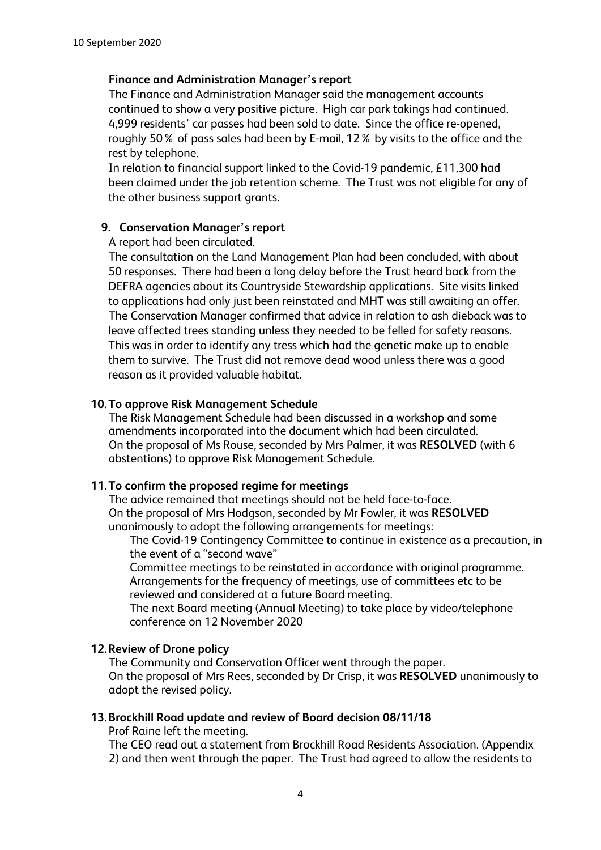### **Finance and Administration Manager's report**

The Finance and Administration Manager said the management accounts continued to show a very positive picture. High car park takings had continued. 4,999 residents' car passes had been sold to date. Since the office re-opened, roughly 50% of pass sales had been by E-mail, 12% by visits to the office and the rest by telephone.

In relation to financial support linked to the Covid-19 pandemic, £11,300 had been claimed under the job retention scheme. The Trust was not eligible for any of the other business support grants.

## **9. Conservation Manager's report**

A report had been circulated.

The consultation on the Land Management Plan had been concluded, with about 50 responses. There had been a long delay before the Trust heard back from the DEFRA agencies about its Countryside Stewardship applications. Site visits linked to applications had only just been reinstated and MHT was still awaiting an offer. The Conservation Manager confirmed that advice in relation to ash dieback was to leave affected trees standing unless they needed to be felled for safety reasons. This was in order to identify any tress which had the genetic make up to enable them to survive. The Trust did not remove dead wood unless there was a good reason as it provided valuable habitat.

### **10.To approve Risk Management Schedule**

The Risk Management Schedule had been discussed in a workshop and some amendments incorporated into the document which had been circulated. On the proposal of Ms Rouse, seconded by Mrs Palmer, it was **RESOLVED** (with 6 abstentions) to approve Risk Management Schedule.

## **11.To confirm the proposed regime for meetings**

The advice remained that meetings should not be held face-to-face. On the proposal of Mrs Hodgson, seconded by Mr Fowler, it was **RESOLVED** unanimously to adopt the following arrangements for meetings:

The Covid-19 Contingency Committee to continue in existence as a precaution, in the event of a "second wave"

Committee meetings to be reinstated in accordance with original programme. Arrangements for the frequency of meetings, use of committees etc to be reviewed and considered at a future Board meeting.

The next Board meeting (Annual Meeting) to take place by video/telephone conference on 12 November 2020

## **12.Review of Drone policy**

The Community and Conservation Officer went through the paper. On the proposal of Mrs Rees, seconded by Dr Crisp, it was **RESOLVED** unanimously to adopt the revised policy.

### **13.Brockhill Road update and review of Board decision 08/11/18**

Prof Raine left the meeting.

The CEO read out a statement from Brockhill Road Residents Association. (Appendix 2) and then went through the paper. The Trust had agreed to allow the residents to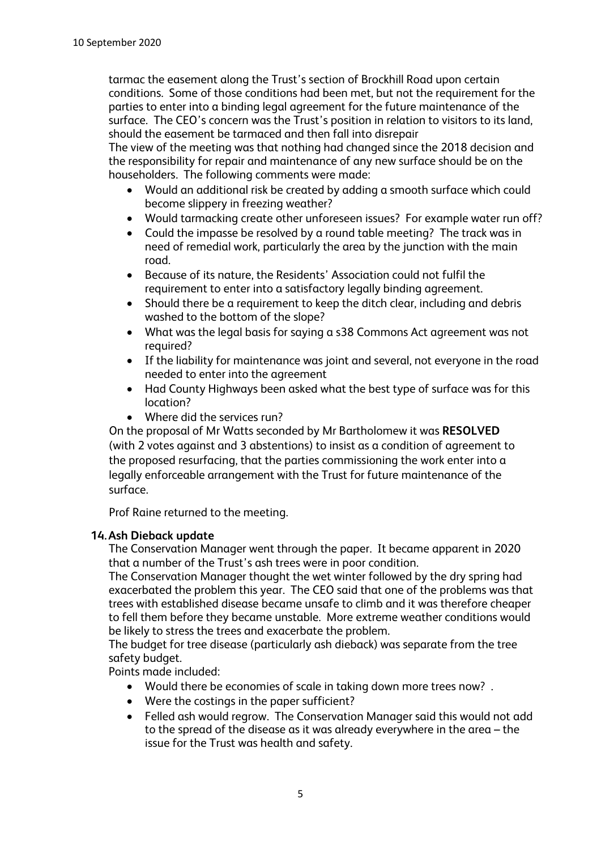tarmac the easement along the Trust's section of Brockhill Road upon certain conditions. Some of those conditions had been met, but not the requirement for the parties to enter into a binding legal agreement for the future maintenance of the surface. The CEO's concern was the Trust's position in relation to visitors to its land, should the easement be tarmaced and then fall into disrepair

The view of the meeting was that nothing had changed since the 2018 decision and the responsibility for repair and maintenance of any new surface should be on the householders. The following comments were made:

- Would an additional risk be created by adding a smooth surface which could become slippery in freezing weather?
- Would tarmacking create other unforeseen issues? For example water run off?
- Could the impasse be resolved by a round table meeting? The track was in need of remedial work, particularly the area by the junction with the main road.
- Because of its nature, the Residents' Association could not fulfil the requirement to enter into a satisfactory legally binding agreement.
- Should there be a requirement to keep the ditch clear, including and debris washed to the bottom of the slope?
- What was the legal basis for saying a s38 Commons Act agreement was not required?
- If the liability for maintenance was joint and several, not everyone in the road needed to enter into the agreement
- Had County Highways been asked what the best type of surface was for this location?
- Where did the services run?

On the proposal of Mr Watts seconded by Mr Bartholomew it was **RESOLVED** (with 2 votes against and 3 abstentions) to insist as a condition of agreement to the proposed resurfacing, that the parties commissioning the work enter into a legally enforceable arrangement with the Trust for future maintenance of the surface.

Prof Raine returned to the meeting.

# **14.Ash Dieback update**

The Conservation Manager went through the paper. It became apparent in 2020 that a number of the Trust's ash trees were in poor condition.

The Conservation Manager thought the wet winter followed by the dry spring had exacerbated the problem this year. The CEO said that one of the problems was that trees with established disease became unsafe to climb and it was therefore cheaper to fell them before they became unstable. More extreme weather conditions would be likely to stress the trees and exacerbate the problem.

The budget for tree disease (particularly ash dieback) was separate from the tree safety budget.

Points made included:

- Would there be economies of scale in taking down more trees now? .
- Were the costings in the paper sufficient?
- Felled ash would regrow. The Conservation Manager said this would not add to the spread of the disease as it was already everywhere in the area – the issue for the Trust was health and safety.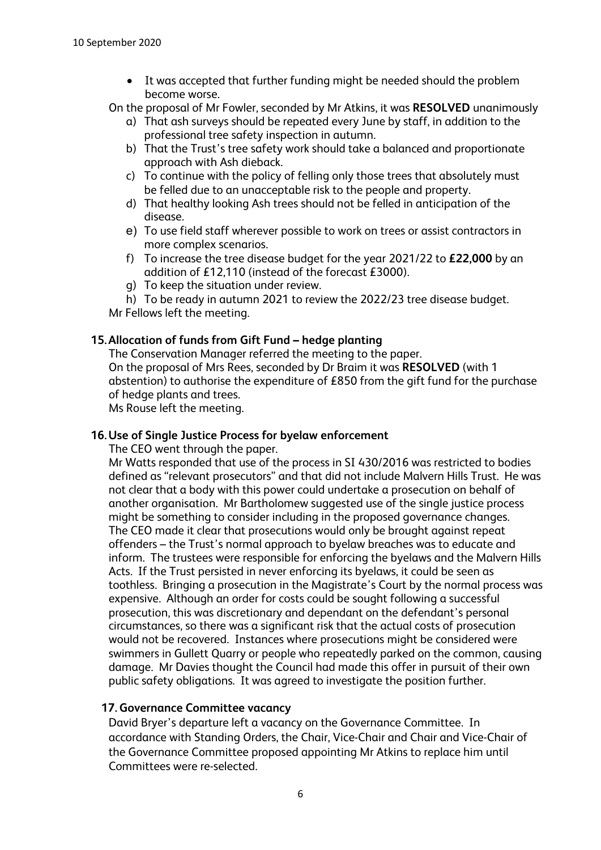- It was accepted that further funding might be needed should the problem become worse.
- On the proposal of Mr Fowler, seconded by Mr Atkins, it was **RESOLVED** unanimously
	- a) That ash surveys should be repeated every June by staff, in addition to the professional tree safety inspection in autumn.
	- b) That the Trust's tree safety work should take a balanced and proportionate approach with Ash dieback.
	- c) To continue with the policy of felling only those trees that absolutely must be felled due to an unacceptable risk to the people and property.
	- d) That healthy looking Ash trees should not be felled in anticipation of the disease.
	- e) To use field staff wherever possible to work on trees or assist contractors in more complex scenarios.
	- f) To increase the tree disease budget for the year 2021/22 to **£22,000** by an addition of £12,110 (instead of the forecast £3000).
	- g) To keep the situation under review.
- h) To be ready in autumn 2021 to review the 2022/23 tree disease budget. Mr Fellows left the meeting.

## **15.Allocation of funds from Gift Fund – hedge planting**

The Conservation Manager referred the meeting to the paper. On the proposal of Mrs Rees, seconded by Dr Braim it was **RESOLVED** (with 1 abstention) to authorise the expenditure of £850 from the gift fund for the purchase of hedge plants and trees.

Ms Rouse left the meeting.

#### **16.Use of Single Justice Process for byelaw enforcement**

The CEO went through the paper.

Mr Watts responded that use of the process in SI 430/2016 was restricted to bodies defined as "relevant prosecutors" and that did not include Malvern Hills Trust. He was not clear that a body with this power could undertake a prosecution on behalf of another organisation. Mr Bartholomew suggested use of the single justice process might be something to consider including in the proposed governance changes. The CEO made it clear that prosecutions would only be brought against repeat offenders – the Trust's normal approach to byelaw breaches was to educate and inform. The trustees were responsible for enforcing the byelaws and the Malvern Hills Acts. If the Trust persisted in never enforcing its byelaws, it could be seen as toothless. Bringing a prosecution in the Magistrate's Court by the normal process was expensive. Although an order for costs could be sought following a successful prosecution, this was discretionary and dependant on the defendant's personal circumstances, so there was a significant risk that the actual costs of prosecution would not be recovered. Instances where prosecutions might be considered were swimmers in Gullett Quarry or people who repeatedly parked on the common, causing damage. Mr Davies thought the Council had made this offer in pursuit of their own public safety obligations. It was agreed to investigate the position further.

#### **17.Governance Committee vacancy**

David Bryer's departure left a vacancy on the Governance Committee. In accordance with Standing Orders, the Chair, Vice-Chair and Chair and Vice-Chair of the Governance Committee proposed appointing Mr Atkins to replace him until Committees were re-selected.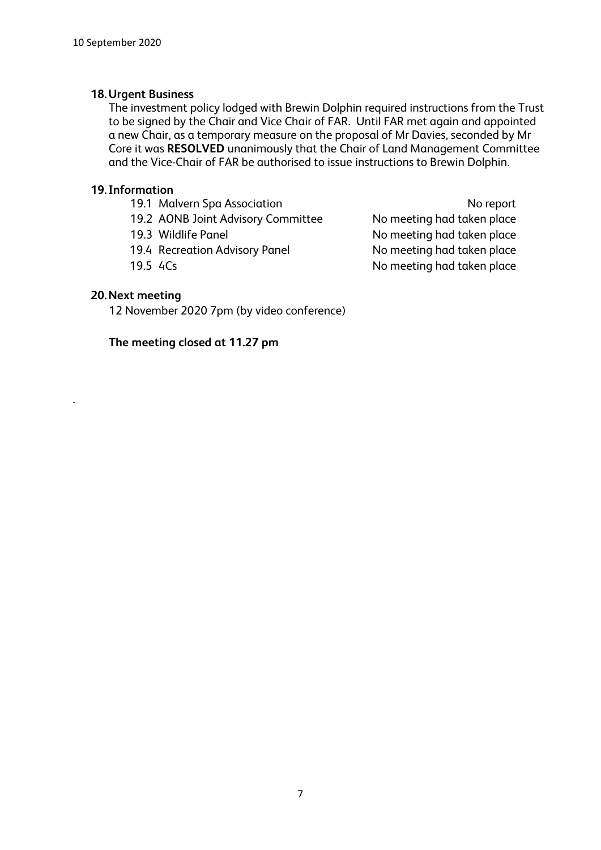### **18.Urgent Business**

The investment policy lodged with Brewin Dolphin required instructions from the Trust to be signed by the Chair and Vice Chair of FAR. Until FAR met again and appointed a new Chair, as a temporary measure on the proposal of Mr Davies, seconded by Mr Core it was **RESOLVED** unanimously that the Chair of Land Management Committee and the Vice-Chair of FAR be authorised to issue instructions to Brewin Dolphin.

## **19. Information**

19.1 Malvern Spa Association No report 19.2 AONB Joint Advisory Committee No meeting had taken place 19.3 Wildlife Panel **No meeting had taken place** 19.4 Recreation Advisory Panel No meeting had taken place 19.5 ACs No meeting had taken place

## **20.Next meeting**

.

12 November 2020 7pm (by video conference)

# **The meeting closed at 11.27 pm**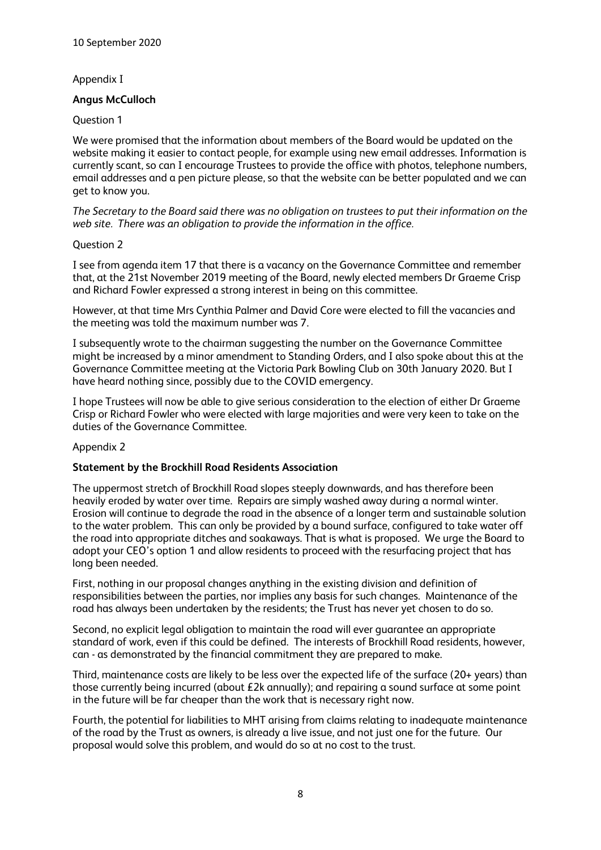#### Appendix I

### **Angus McCulloch**

#### Question 1

We were promised that the information about members of the Board would be updated on the website making it easier to contact people, for example using new email addresses. Information is currently scant, so can I encourage Trustees to provide the office with photos, telephone numbers, email addresses and a pen picture please, so that the website can be better populated and we can get to know you.

*The Secretary to the Board said there was no obligation on trustees to put their information on the web site. There was an obligation to provide the information in the office.* 

#### Question 2

I see from agenda item 17 that there is a vacancy on the Governance Committee and remember that, at the 21st November 2019 meeting of the Board, newly elected members Dr Graeme Crisp and Richard Fowler expressed a strong interest in being on this committee.

However, at that time Mrs Cynthia Palmer and David Core were elected to fill the vacancies and the meeting was told the maximum number was 7.

I subsequently wrote to the chairman suggesting the number on the Governance Committee might be increased by a minor amendment to Standing Orders, and I also spoke about this at the Governance Committee meeting at the Victoria Park Bowling Club on 30th January 2020. But I have heard nothing since, possibly due to the COVID emergency.

I hope Trustees will now be able to give serious consideration to the election of either Dr Graeme Crisp or Richard Fowler who were elected with large majorities and were very keen to take on the duties of the Governance Committee.

#### Appendix 2

#### **Statement by the Brockhill Road Residents Association**

The uppermost stretch of Brockhill Road slopes steeply downwards, and has therefore been heavily eroded by water over time. Repairs are simply washed away during a normal winter. Erosion will continue to degrade the road in the absence of a longer term and sustainable solution to the water problem. This can only be provided by a bound surface, configured to take water off the road into appropriate ditches and soakaways. That is what is proposed. We urge the Board to adopt your CEO's option 1 and allow residents to proceed with the resurfacing project that has long been needed.

First, nothing in our proposal changes anything in the existing division and definition of responsibilities between the parties, nor implies any basis for such changes. Maintenance of the road has always been undertaken by the residents; the Trust has never yet chosen to do so.

Second, no explicit legal obligation to maintain the road will ever guarantee an appropriate standard of work, even if this could be defined. The interests of Brockhill Road residents, however, can - as demonstrated by the financial commitment they are prepared to make.

Third, maintenance costs are likely to be less over the expected life of the surface (20+ years) than those currently being incurred (about £2k annually); and repairing a sound surface at some point in the future will be far cheaper than the work that is necessary right now.

Fourth, the potential for liabilities to MHT arising from claims relating to inadequate maintenance of the road by the Trust as owners, is already a live issue, and not just one for the future. Our proposal would solve this problem, and would do so at no cost to the trust.